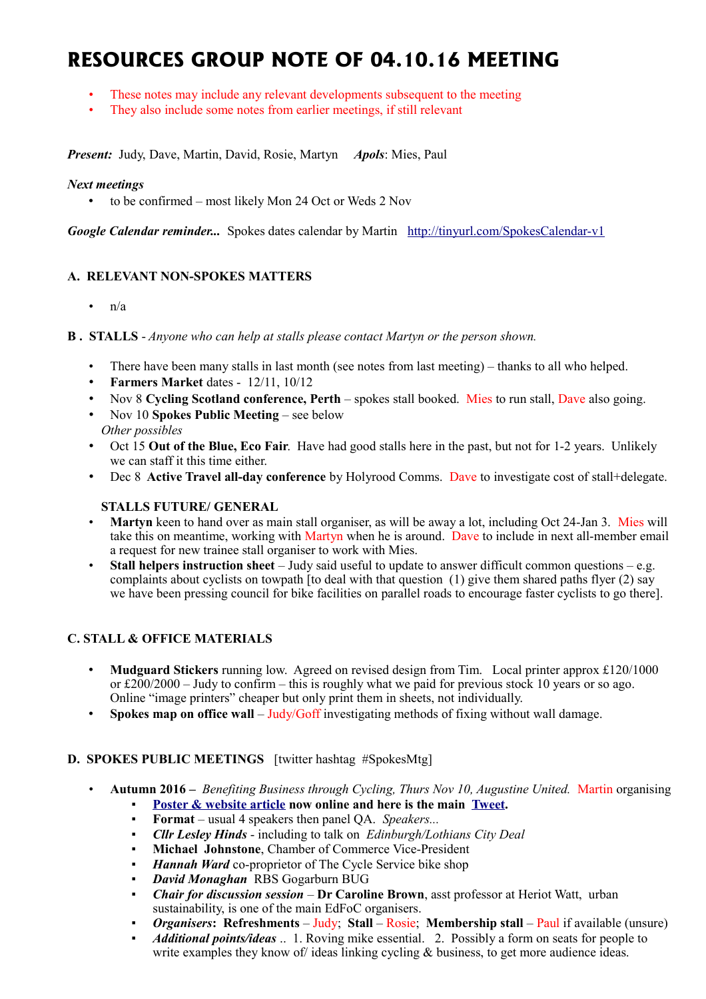# **RESOURCES GROUP NOTE OF 04.10.16 MEETING**

- These notes may include any relevant developments subsequent to the meeting
- They also include some notes from earlier meetings, if still relevant

*Present:* Judy, Dave, Martin, David, Rosie, Martyn *Apols*: Mies, Paul

#### *Next meetings*

• to be confirmed – most likely Mon 24 Oct or Weds 2 Nov

*Google Calendar reminder...* Spokes dates calendar by Martin <http://tinyurl.com/SpokesCalendar-v1>

# **A. RELEVANT NON-SPOKES MATTERS**

•  $n/a$ 

**B . STALLS** - *Anyone who can help at stalls please contact Martyn or the person shown.*

- There have been many stalls in last month (see notes from last meeting) thanks to all who helped.
- **Farmers Market** dates 12/11, 10/12
- Nov 8 **[Cycling Scotland conference, Perth](http://cyclingscotlandconference.org/)** spokes stall booked. Mies to run stall, Dave also going.
- Nov 10 **Spokes Public Meeting** see below
- *Other possibles*
- Oct 15 **Out of the Blue, Eco Fair**. Have had good stalls here in the past, but not for 1-2 years. Unlikely we can staff it this time either.
- Dec 8 **Active Travel all-day conference** by Holyrood Comms. Dave to investigate cost of stall+delegate.

# **STALLS FUTURE/ GENERAL**

- **Martyn** keen to hand over as main stall organiser, as will be away a lot, including Oct 24-Jan 3. Mies will take this on meantime, working with Martyn when he is around. Dave to include in next all-member email a request for new trainee stall organiser to work with Mies.
- **Stall helpers instruction sheet** Judy said useful to update to answer difficult common questions e.g. complaints about cyclists on towpath [to deal with that question  $(1)$  give them shared paths flyer  $(2)$  say we have been pressing council for bike facilities on parallel roads to encourage faster cyclists to go there].

# **C. STALL & OFFICE MATERIALS**

- **Mudguard Stickers** running low. Agreed on revised design from Tim. Local printer approx £120/1000 or  $\text{\pounds}200/2000 - \text{July to confirm} - \text{this is roughly what we paid for previous stock 10 years or so ago.}$ Online "image printers" cheaper but only print them in sheets, not individually.
- **Spokes map on office wall** Judy/Goff investigating methods of fixing without wall damage.

# **D. SPOKES PUBLIC MEETINGS** [twitter hashtag #SpokesMtg]

- **Autumn 2016 –** *Benefiting Business through Cycling, Thurs Nov 10, Augustine United.* Martin organising [Poster & website article](http://www.spokes.org.uk/2016/08/public-meeting-benefiting-business-through-cycling/) now online and here is the main **Tweet**.
	- **Format** usual 4 speakers then panel QA. *Speakers...*
	- *Cllr Lesley Hinds* including to talk on *Edinburgh/Lothians City Deal*
	- **Michael Johnstone**, Chamber of Commerce Vice-President
	- *Hannah Ward* co-proprietor of The Cycle Service bike shop
	- *David Monaghan* RBS Gogarburn BUG
	- *Chair for discussion session* **Dr Caroline Brown**, asst professor at Heriot Watt, urban sustainability, is one of the main EdFoC organisers.
	- *Organisers***:** Refreshments Judy; Stall Rosie; Membership stall Paul if available (unsure)
	- *Additional points/ideas* .. 1. Roving mike essential. 2. Possibly a form on seats for people to write examples they know of ideas linking cycling & business, to get more audience ideas.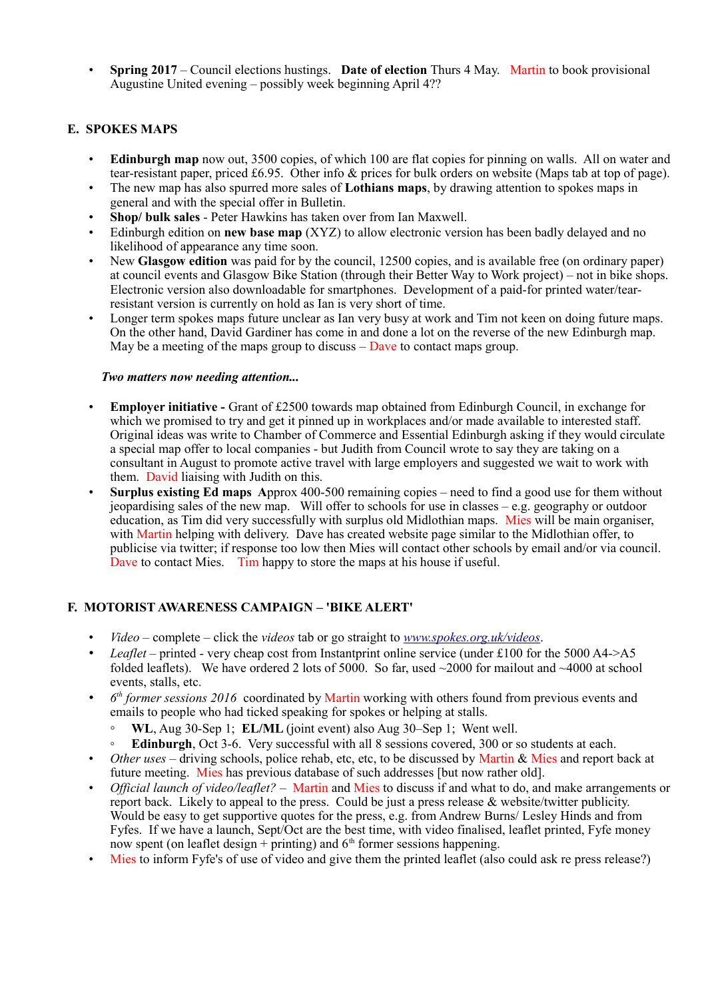• **Spring 2017** – Council elections hustings. **Date of election** Thurs 4 May. Martin to book provisional Augustine United evening – possibly week beginning April 4??

# **E. SPOKES MAPS**

- **Edinburgh map** now out, 3500 copies, of which 100 are flat copies for pinning on walls. All on water and tear-resistant paper, priced £6.95. Other info & prices for bulk orders on website (Maps tab at top of page).
- The new map has also spurred more sales of **Lothians maps**, by drawing attention to spokes maps in general and with the special offer in Bulletin.
- **Shop/ bulk sales** Peter Hawkins has taken over from Ian Maxwell.
- Edinburgh edition on **new base map** (XYZ) to allow electronic version has been badly delayed and no likelihood of appearance any time soon.
- New **Glasgow edition** was paid for by the council, 12500 copies, and is available free (on ordinary paper) at council events and Glasgow Bike Station (through their Better Way to Work project) – not in bike shops. Electronic version also downloadable for smartphones. Development of a paid-for printed water/tearresistant version is currently on hold as Ian is very short of time.
- Longer term spokes maps future unclear as Ian very busy at work and Tim not keen on doing future maps. On the other hand, David Gardiner has come in and done a lot on the reverse of the new Edinburgh map. May be a meeting of the maps group to discuss  $-\overline{D}$  ave to contact maps group.

#### *Two matters now needing attention...*

- **Employer initiative** Grant of £2500 towards map obtained from Edinburgh Council, in exchange for which we promised to try and get it pinned up in workplaces and/or made available to interested staff. Original ideas was write to Chamber of Commerce and Essential Edinburgh asking if they would circulate a special map offer to local companies - but Judith from Council wrote to say they are taking on a consultant in August to promote active travel with large employers and suggested we wait to work with them. David liaising with Judith on this.
- **Surplus existing Ed maps A**pprox 400-500 remaining copies need to find a good use for them without jeopardising sales of the new map. Will offer to schools for use in classes – e.g. geography or outdoor education, as Tim did very successfully with surplus old Midlothian maps. Mies will be main organiser, with Martin helping with delivery. Dave has created website page similar to the Midlothian offer, to publicise via twitter; if response too low then Mies will contact other schools by email and/or via council. Dave to contact Mies. Tim happy to store the maps at his house if useful.

# **F. MOTORIST AWARENESS CAMPAIGN – 'BIKE ALERT'**

- *Video*  complete click the *videos* tab or go straight to *[www.spokes.org.uk/videos](http://www.spokes.org.uk/videos)*.
- *Leaflet* printed very cheap cost from Instantprint online service (under £100 for the 5000 A4->A5 folded leaflets). We have ordered 2 lots of 5000. So far, used  $\sim$ 2000 for mailout and  $\sim$ 4000 at school events, stalls, etc.
- *6*  $6<sup>th</sup>$  *former sessions 2016* coordinated by Martin working with others found from previous events and emails to people who had ticked speaking for spokes or helping at stalls.
	- **WL**, Aug 30-Sep 1; **EL/ML** (joint event) also Aug 30–Sep 1; Went well.
	- **Edinburgh**, Oct 3-6. Very successful with all 8 sessions covered, 300 or so students at each.
- *Other uses* driving schools, police rehab, etc, etc, to be discussed by Martin & Mies and report back at future meeting. Mies has previous database of such addresses [but now rather old].
- *Official launch of video/leaflet?* Martin and Mies to discuss if and what to do, and make arrangements or report back. Likely to appeal to the press. Could be just a press release & website/twitter publicity. Would be easy to get supportive quotes for the press, e.g. from Andrew Burns/ Lesley Hinds and from Fyfes. If we have a launch, Sept/Oct are the best time, with video finalised, leaflet printed, Fyfe money now spent (on leaflet design + printing) and  $6<sup>th</sup>$  former sessions happening.
- Mies to inform Fyfe's of use of video and give them the printed leaflet (also could ask re press release?)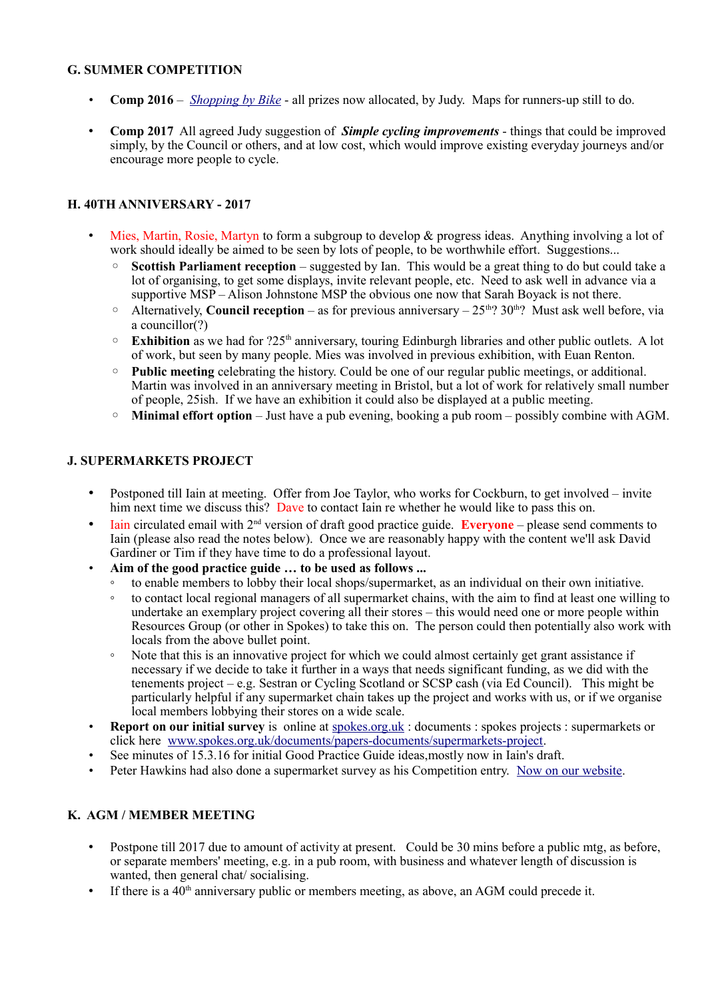### **G. SUMMER COMPETITION**

- **Comp 2016** *[Shopping by Bike](http://www.spokes.org.uk/2016/07/competition-shopping-by-bike/)* all prizes now allocated, by Judy. Maps for runners-up still to do.
- **Comp 2017** All agreed Judy suggestion of *Simple cycling improvements* things that could be improved simply, by the Council or others, and at low cost, which would improve existing everyday journeys and/or encourage more people to cycle.

## **H. 40TH ANNIVERSARY - 2017**

- Mies, Martin, Rosie, Martyn to form a subgroup to develop & progress ideas. Anything involving a lot of work should ideally be aimed to be seen by lots of people, to be worthwhile effort. Suggestions...
	- **Scottish Parliament reception** suggested by Ian. This would be a great thing to do but could take a lot of organising, to get some displays, invite relevant people, etc. Need to ask well in advance via a supportive MSP – Alison Johnstone MSP the obvious one now that Sarah Boyack is not there.
	- $\degree$  Alternatively, **Council reception** as for previous anniversary 25<sup>th</sup>? 30<sup>th</sup>? Must ask well before, via a councillor(?)
	- **Exhibition** as we had for ?25th anniversary, touring Edinburgh libraries and other public outlets. A lot of work, but seen by many people. Mies was involved in previous exhibition, with Euan Renton.
	- **Public meeting** celebrating the history. Could be one of our regular public meetings, or additional. Martin was involved in an anniversary meeting in Bristol, but a lot of work for relatively small number of people, 25ish. If we have an exhibition it could also be displayed at a public meeting.
	- **Minimal effort option** Just have a pub evening, booking a pub room possibly combine with AGM.

### **J. SUPERMARKETS PROJECT**

- Postponed till Iain at meeting. Offer from Joe Taylor, who works for Cockburn, to get involved invite him next time we discuss this? Dave to contact Iain re whether he would like to pass this on.
- Iain circulated email with 2<sup>nd</sup> version of draft good practice guide. **Everyone** please send comments to Iain (please also read the notes below). Once we are reasonably happy with the content we'll ask David Gardiner or Tim if they have time to do a professional layout.
- **Aim of the good practice guide … to be used as follows ...**
	- to enable members to lobby their local shops/supermarket, as an individual on their own initiative.
	- to contact local regional managers of all supermarket chains, with the aim to find at least one willing to undertake an exemplary project covering all their stores – this would need one or more people within Resources Group (or other in Spokes) to take this on. The person could then potentially also work with locals from the above bullet point.
	- Note that this is an innovative project for which we could almost certainly get grant assistance if necessary if we decide to take it further in a ways that needs significant funding, as we did with the tenements project – e.g. Sestran or Cycling Scotland or SCSP cash (via Ed Council). This might be particularly helpful if any supermarket chain takes up the project and works with us, or if we organise local members lobbying their stores on a wide scale.
- **Report on our initial survey** is online at [spokes.org.uk](http://spokes.org.uk/) : documents : spokes projects : supermarkets or click here [www.spokes.org.uk/documents/papers-documents/supermarkets-project.](http://www.spokes.org.uk/documents/papers-documents/supermarkets-project)
- See minutes of 15.3.16 for initial Good Practice Guide ideas, mostly now in Iain's draft.
- Peter Hawkins had also done a supermarket survey as his Competition entry. [Now on our website.](http://www.spokes.org.uk/documents/papers-documents/supermarkets-project/)

# **K. AGM / MEMBER MEETING**

- Postpone till 2017 due to amount of activity at present. Could be 30 mins before a public mtg, as before, or separate members' meeting, e.g. in a pub room, with business and whatever length of discussion is wanted, then general chat/ socialising.
- If there is a  $40<sup>th</sup>$  anniversary public or members meeting, as above, an AGM could precede it.